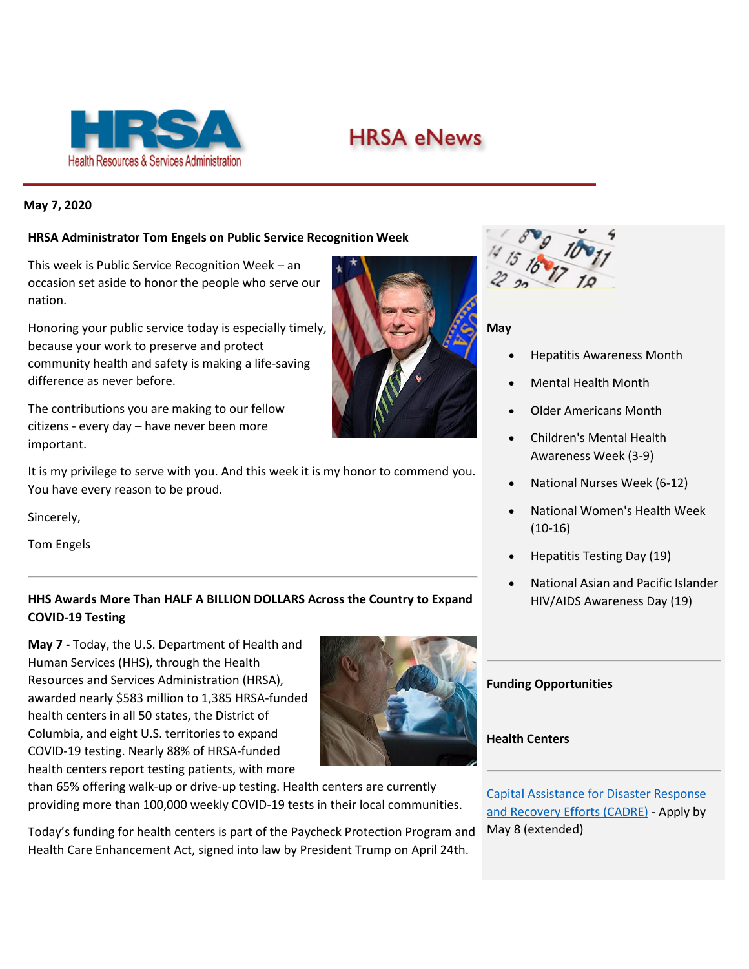

# **HRSA eNews**

## **May 7, 2020**

### **HRSA Administrator Tom Engels on Public Service Recognition Week**

This week is Public Service Recognition Week – an occasion set aside to honor the people who serve our nation.

Honoring your public service today is especially timely, because your work to preserve and protect community health and safety is making a life-saving difference as never before.

The contributions you are making to our fellow citizens - every day – have never been more important.

It is my privilege to serve with you. And this week it is my honor to commend you. You have every reason to be proud.

Sincerely,

Tom Engels

# **HHS Awards More Than HALF A BILLION DOLLARS Across the Country to Expand COVID-19 Testing**

**May 7 -** Today, the U.S. Department of Health and Human Services (HHS), through the Health Resources and Services Administration (HRSA), awarded nearly \$583 million to 1,385 HRSA-funded health centers in all 50 states, the District of Columbia, and eight U.S. territories to expand COVID-19 testing. Nearly 88% of HRSA-funded health centers report testing patients, with more



than 65% offering walk-up or drive-up testing. Health centers are currently providing more than 100,000 weekly COVID-19 tests in their local communities.

Today's funding for health centers is part of the Paycheck Protection Program and Health Care Enhancement Act, signed into law by President Trump on April 24th.



#### **May**

- Hepatitis Awareness Month
- Mental Health Month
- Older Americans Month
- Children's Mental Health Awareness Week (3-9)
- National Nurses Week (6-12)
- National Women's Health Week (10-16)
- Hepatitis Testing Day (19)
- National Asian and Pacific Islander HIV/AIDS Awareness Day (19)

# **Funding Opportunities**

#### **Health Centers**

[Capital Assistance for Disaster Response](https://lnks.gd/l/eyJhbGciOiJIUzI1NiJ9.eyJidWxsZXRpbl9saW5rX2lkIjoxMTksInVyaSI6ImJwMjpjbGljayIsImJ1bGxldGluX2lkIjoiMjAyMDA1MDcuMjExODgyMTEiLCJ1cmwiOiJodHRwczovL2JwaGMuaHJzYS5nb3YvcHJvZ3JhbS1vcHBvcnR1bml0aWVzL2NhZHJlP3V0bV9jYW1wYWlnbj1lbmV3czIwMjAwNTA3JnV0bV9tZWRpdW09ZW1haWwmdXRtX3NvdXJjZT1nb3ZkZWxpdmVyeSJ9.NTP6alE7IbPEwgyNz67oDN88eAHQY_sb15UdycCEQZg/br/78368568620-l)  [and Recovery Efforts \(CADRE\)](https://lnks.gd/l/eyJhbGciOiJIUzI1NiJ9.eyJidWxsZXRpbl9saW5rX2lkIjoxMTksInVyaSI6ImJwMjpjbGljayIsImJ1bGxldGluX2lkIjoiMjAyMDA1MDcuMjExODgyMTEiLCJ1cmwiOiJodHRwczovL2JwaGMuaHJzYS5nb3YvcHJvZ3JhbS1vcHBvcnR1bml0aWVzL2NhZHJlP3V0bV9jYW1wYWlnbj1lbmV3czIwMjAwNTA3JnV0bV9tZWRpdW09ZW1haWwmdXRtX3NvdXJjZT1nb3ZkZWxpdmVyeSJ9.NTP6alE7IbPEwgyNz67oDN88eAHQY_sb15UdycCEQZg/br/78368568620-l) - Apply by May 8 (extended)

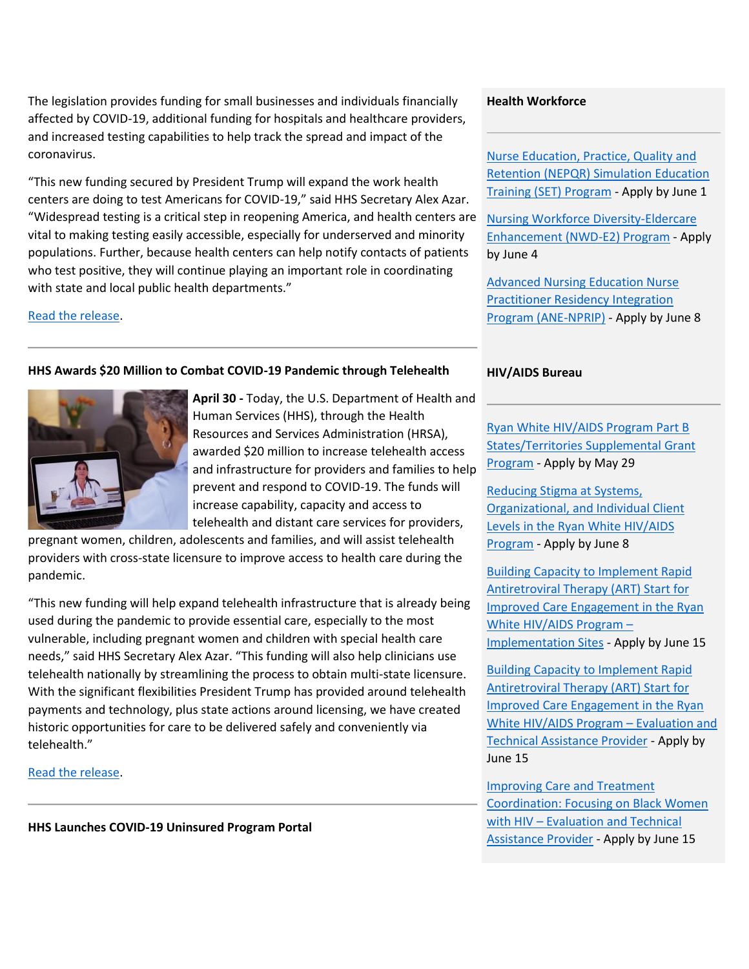The legislation provides funding for small businesses and individuals financially affected by COVID-19, additional funding for hospitals and healthcare providers, and increased testing capabilities to help track the spread and impact of the coronavirus.

"This new funding secured by President Trump will expand the work health centers are doing to test Americans for COVID-19," said HHS Secretary Alex Azar. "Widespread testing is a critical step in reopening America, and health centers are vital to making testing easily accessible, especially for underserved and minority populations. Further, because health centers can help notify contacts of patients who test positive, they will continue playing an important role in coordinating with state and local public health departments."

[Read the release.](https://lnks.gd/l/eyJhbGciOiJIUzI1NiJ9.eyJidWxsZXRpbl9saW5rX2lkIjoxMDAsInVyaSI6ImJwMjpjbGljayIsImJ1bGxldGluX2lkIjoiMjAyMDA1MDcuMjExODgyMTEiLCJ1cmwiOiJodHRwczovL3d3dy5oaHMuZ292L2Fib3V0L25ld3MvMjAyMC8wNS8wNy9oaHMtYXdhcmRzLW1vcmUtdGhhbi1oYWxmLWJpbGxpb24tYWNyb3NzLXRoZS1uYXRpb24tdG8tZXhwYW5kLWNvdmlkMTktdGVzdGluZy5odG1sP3V0bV9jYW1wYWlnbj1lbmV3czIwMjAwNTA3JnV0bV9tZWRpdW09ZW1haWwmdXRtX3NvdXJjZT1nb3ZkZWxpdmVyeSJ9.V9Ja7Vgycs-z3Ms6D4NJx7ggRYDxJO2PjJj4wGMIloM/br/78368568620-l)

# **HHS Awards \$20 Million to Combat COVID-19 Pandemic through Telehealth**



**April 30 -** Today, the U.S. Department of Health and Human Services (HHS), through the Health Resources and Services Administration (HRSA), awarded \$20 million to increase telehealth access and infrastructure for providers and families to help prevent and respond to COVID-19. The funds will increase capability, capacity and access to telehealth and distant care services for providers,

pregnant women, children, adolescents and families, and will assist telehealth providers with cross-state licensure to improve access to health care during the pandemic.

"This new funding will help expand telehealth infrastructure that is already being used during the pandemic to provide essential care, especially to the most vulnerable, including pregnant women and children with special health care needs," said HHS Secretary Alex Azar. "This funding will also help clinicians use telehealth nationally by streamlining the process to obtain multi-state licensure. With the significant flexibilities President Trump has provided around telehealth payments and technology, plus state actions around licensing, we have created historic opportunities for care to be delivered safely and conveniently via telehealth."

[Read the release.](https://lnks.gd/l/eyJhbGciOiJIUzI1NiJ9.eyJidWxsZXRpbl9saW5rX2lkIjoxMDEsInVyaSI6ImJwMjpjbGljayIsImJ1bGxldGluX2lkIjoiMjAyMDA1MDcuMjExODgyMTEiLCJ1cmwiOiJodHRwczovL3d3dy5oaHMuZ292L2Fib3V0L25ld3MvMjAyMC8wNC8zMC9oaHMtYXdhcmRzLTIwLW1pbGxpb24tdG8tY29tYmF0LWNvdmlkMTktcGFuZGVtaWMtdGhyb3VnaC10ZWxlaGVhbHRoLmh0bWw_dXRtX2NhbXBhaWduPWVuZXdzMjAyMDA1MDcmdXRtX21lZGl1bT1lbWFpbCZ1dG1fc291cmNlPWdvdmRlbGl2ZXJ5In0.8sZly7NRl8kx4QuOPqGBX1aUs9vCJNI2fbpKWiqetDM/br/78368568620-l)

**HHS Launches COVID-19 Uninsured Program Portal**

# **Health Workforce**

[Nurse Education, Practice, Quality and](https://lnks.gd/l/eyJhbGciOiJIUzI1NiJ9.eyJidWxsZXRpbl9saW5rX2lkIjoxMjAsInVyaSI6ImJwMjpjbGljayIsImJ1bGxldGluX2lkIjoiMjAyMDA1MDcuMjExODgyMTEiLCJ1cmwiOiJodHRwczovL3d3dy5ocnNhLmdvdi9ncmFudHMvZmluZC1mdW5kaW5nL2hyc2EtMjAtMTEwP3V0bV9jYW1wYWlnbj1lbmV3czIwMjAwNTA3JnV0bV9tZWRpdW09ZW1haWwmdXRtX3NvdXJjZT1nb3ZkZWxpdmVyeSJ9.pIBBVIKqkWf3nsVAl3hNfDWd39iBaMavwNxvjqTeitk/br/78368568620-l)  [Retention \(NEPQR\) Simulation Education](https://lnks.gd/l/eyJhbGciOiJIUzI1NiJ9.eyJidWxsZXRpbl9saW5rX2lkIjoxMjAsInVyaSI6ImJwMjpjbGljayIsImJ1bGxldGluX2lkIjoiMjAyMDA1MDcuMjExODgyMTEiLCJ1cmwiOiJodHRwczovL3d3dy5ocnNhLmdvdi9ncmFudHMvZmluZC1mdW5kaW5nL2hyc2EtMjAtMTEwP3V0bV9jYW1wYWlnbj1lbmV3czIwMjAwNTA3JnV0bV9tZWRpdW09ZW1haWwmdXRtX3NvdXJjZT1nb3ZkZWxpdmVyeSJ9.pIBBVIKqkWf3nsVAl3hNfDWd39iBaMavwNxvjqTeitk/br/78368568620-l)  [Training \(SET\) Program](https://lnks.gd/l/eyJhbGciOiJIUzI1NiJ9.eyJidWxsZXRpbl9saW5rX2lkIjoxMjAsInVyaSI6ImJwMjpjbGljayIsImJ1bGxldGluX2lkIjoiMjAyMDA1MDcuMjExODgyMTEiLCJ1cmwiOiJodHRwczovL3d3dy5ocnNhLmdvdi9ncmFudHMvZmluZC1mdW5kaW5nL2hyc2EtMjAtMTEwP3V0bV9jYW1wYWlnbj1lbmV3czIwMjAwNTA3JnV0bV9tZWRpdW09ZW1haWwmdXRtX3NvdXJjZT1nb3ZkZWxpdmVyeSJ9.pIBBVIKqkWf3nsVAl3hNfDWd39iBaMavwNxvjqTeitk/br/78368568620-l) - Apply by June 1

[Nursing Workforce Diversity-Eldercare](https://lnks.gd/l/eyJhbGciOiJIUzI1NiJ9.eyJidWxsZXRpbl9saW5rX2lkIjoxMjEsInVyaSI6ImJwMjpjbGljayIsImJ1bGxldGluX2lkIjoiMjAyMDA1MDcuMjExODgyMTEiLCJ1cmwiOiJodHRwczovL3d3dy5ocnNhLmdvdi9ncmFudHMvZmluZC1mdW5kaW5nL2hyc2EtMjAtMTE3P3V0bV9jYW1wYWlnbj1lbmV3czIwMjAwNTA3JnV0bV9tZWRpdW09ZW1haWwmdXRtX3NvdXJjZT1nb3ZkZWxpdmVyeSJ9.fzg-W9bsuhGrD2MWKZuFg6xL7J3eGZsQ8QMg2jzEvTk/br/78368568620-l)  [Enhancement \(NWD-E2\) Program](https://lnks.gd/l/eyJhbGciOiJIUzI1NiJ9.eyJidWxsZXRpbl9saW5rX2lkIjoxMjEsInVyaSI6ImJwMjpjbGljayIsImJ1bGxldGluX2lkIjoiMjAyMDA1MDcuMjExODgyMTEiLCJ1cmwiOiJodHRwczovL3d3dy5ocnNhLmdvdi9ncmFudHMvZmluZC1mdW5kaW5nL2hyc2EtMjAtMTE3P3V0bV9jYW1wYWlnbj1lbmV3czIwMjAwNTA3JnV0bV9tZWRpdW09ZW1haWwmdXRtX3NvdXJjZT1nb3ZkZWxpdmVyeSJ9.fzg-W9bsuhGrD2MWKZuFg6xL7J3eGZsQ8QMg2jzEvTk/br/78368568620-l) - Apply by June 4

[Advanced Nursing Education Nurse](https://lnks.gd/l/eyJhbGciOiJIUzI1NiJ9.eyJidWxsZXRpbl9saW5rX2lkIjoxMjIsInVyaSI6ImJwMjpjbGljayIsImJ1bGxldGluX2lkIjoiMjAyMDA1MDcuMjExODgyMTEiLCJ1cmwiOiJodHRwczovL3d3dy5ocnNhLmdvdi9ncmFudHMvZmluZC1mdW5kaW5nL2hyc2EtMjAtMTE4P3V0bV9jYW1wYWlnbj1lbmV3czIwMjAwNTA3JnV0bV9tZWRpdW09ZW1haWwmdXRtX3NvdXJjZT1nb3ZkZWxpdmVyeSJ9.fXtBXk8KytJm1qlRDwOyKdkkTTQPyleuxGptgnGmeY0/br/78368568620-l)  [Practitioner Residency Integration](https://lnks.gd/l/eyJhbGciOiJIUzI1NiJ9.eyJidWxsZXRpbl9saW5rX2lkIjoxMjIsInVyaSI6ImJwMjpjbGljayIsImJ1bGxldGluX2lkIjoiMjAyMDA1MDcuMjExODgyMTEiLCJ1cmwiOiJodHRwczovL3d3dy5ocnNhLmdvdi9ncmFudHMvZmluZC1mdW5kaW5nL2hyc2EtMjAtMTE4P3V0bV9jYW1wYWlnbj1lbmV3czIwMjAwNTA3JnV0bV9tZWRpdW09ZW1haWwmdXRtX3NvdXJjZT1nb3ZkZWxpdmVyeSJ9.fXtBXk8KytJm1qlRDwOyKdkkTTQPyleuxGptgnGmeY0/br/78368568620-l)  [Program \(ANE-NPRIP\)](https://lnks.gd/l/eyJhbGciOiJIUzI1NiJ9.eyJidWxsZXRpbl9saW5rX2lkIjoxMjIsInVyaSI6ImJwMjpjbGljayIsImJ1bGxldGluX2lkIjoiMjAyMDA1MDcuMjExODgyMTEiLCJ1cmwiOiJodHRwczovL3d3dy5ocnNhLmdvdi9ncmFudHMvZmluZC1mdW5kaW5nL2hyc2EtMjAtMTE4P3V0bV9jYW1wYWlnbj1lbmV3czIwMjAwNTA3JnV0bV9tZWRpdW09ZW1haWwmdXRtX3NvdXJjZT1nb3ZkZWxpdmVyeSJ9.fXtBXk8KytJm1qlRDwOyKdkkTTQPyleuxGptgnGmeY0/br/78368568620-l) - Apply by June 8

# **HIV/AIDS Bureau**

[Ryan White HIV/AIDS Program Part B](https://lnks.gd/l/eyJhbGciOiJIUzI1NiJ9.eyJidWxsZXRpbl9saW5rX2lkIjoxMjMsInVyaSI6ImJwMjpjbGljayIsImJ1bGxldGluX2lkIjoiMjAyMDA1MDcuMjExODgyMTEiLCJ1cmwiOiJodHRwczovL3d3dy5ocnNhLmdvdi9ncmFudHMvZmluZC1mdW5kaW5nL2hyc2EtMjAtMDY1P3V0bV9jYW1wYWlnbj1lbmV3czIwMjAwNTA3JnV0bV9tZWRpdW09ZW1haWwmdXRtX3NvdXJjZT1nb3ZkZWxpdmVyeSJ9.v3OtAxUNiQ75w7b-c5uN1Oz7Brd_3F0Qfn6VOCh9Us4/br/78368568620-l)  [States/Territories Supplemental Grant](https://lnks.gd/l/eyJhbGciOiJIUzI1NiJ9.eyJidWxsZXRpbl9saW5rX2lkIjoxMjMsInVyaSI6ImJwMjpjbGljayIsImJ1bGxldGluX2lkIjoiMjAyMDA1MDcuMjExODgyMTEiLCJ1cmwiOiJodHRwczovL3d3dy5ocnNhLmdvdi9ncmFudHMvZmluZC1mdW5kaW5nL2hyc2EtMjAtMDY1P3V0bV9jYW1wYWlnbj1lbmV3czIwMjAwNTA3JnV0bV9tZWRpdW09ZW1haWwmdXRtX3NvdXJjZT1nb3ZkZWxpdmVyeSJ9.v3OtAxUNiQ75w7b-c5uN1Oz7Brd_3F0Qfn6VOCh9Us4/br/78368568620-l)  [Program](https://lnks.gd/l/eyJhbGciOiJIUzI1NiJ9.eyJidWxsZXRpbl9saW5rX2lkIjoxMjMsInVyaSI6ImJwMjpjbGljayIsImJ1bGxldGluX2lkIjoiMjAyMDA1MDcuMjExODgyMTEiLCJ1cmwiOiJodHRwczovL3d3dy5ocnNhLmdvdi9ncmFudHMvZmluZC1mdW5kaW5nL2hyc2EtMjAtMDY1P3V0bV9jYW1wYWlnbj1lbmV3czIwMjAwNTA3JnV0bV9tZWRpdW09ZW1haWwmdXRtX3NvdXJjZT1nb3ZkZWxpdmVyeSJ9.v3OtAxUNiQ75w7b-c5uN1Oz7Brd_3F0Qfn6VOCh9Us4/br/78368568620-l) - Apply by May 29

[Reducing Stigma at Systems,](https://lnks.gd/l/eyJhbGciOiJIUzI1NiJ9.eyJidWxsZXRpbl9saW5rX2lkIjoxMjQsInVyaSI6ImJwMjpjbGljayIsImJ1bGxldGluX2lkIjoiMjAyMDA1MDcuMjExODgyMTEiLCJ1cmwiOiJodHRwczovL3d3dy5ocnNhLmdvdi9ncmFudHMvZmluZC1mdW5kaW5nL2hyc2EtMjAtMTEyP3V0bV9jYW1wYWlnbj1lbmV3czIwMjAwNTA3JnV0bV9tZWRpdW09ZW1haWwmdXRtX3NvdXJjZT1nb3ZkZWxpdmVyeSJ9.uWbDOrdUwD0cD6NlAYIC27Hfu_iuODztfXku1x0c4gE/br/78368568620-l)  [Organizational, and Individual Client](https://lnks.gd/l/eyJhbGciOiJIUzI1NiJ9.eyJidWxsZXRpbl9saW5rX2lkIjoxMjQsInVyaSI6ImJwMjpjbGljayIsImJ1bGxldGluX2lkIjoiMjAyMDA1MDcuMjExODgyMTEiLCJ1cmwiOiJodHRwczovL3d3dy5ocnNhLmdvdi9ncmFudHMvZmluZC1mdW5kaW5nL2hyc2EtMjAtMTEyP3V0bV9jYW1wYWlnbj1lbmV3czIwMjAwNTA3JnV0bV9tZWRpdW09ZW1haWwmdXRtX3NvdXJjZT1nb3ZkZWxpdmVyeSJ9.uWbDOrdUwD0cD6NlAYIC27Hfu_iuODztfXku1x0c4gE/br/78368568620-l)  Levels in [the Ryan White HIV/AIDS](https://lnks.gd/l/eyJhbGciOiJIUzI1NiJ9.eyJidWxsZXRpbl9saW5rX2lkIjoxMjQsInVyaSI6ImJwMjpjbGljayIsImJ1bGxldGluX2lkIjoiMjAyMDA1MDcuMjExODgyMTEiLCJ1cmwiOiJodHRwczovL3d3dy5ocnNhLmdvdi9ncmFudHMvZmluZC1mdW5kaW5nL2hyc2EtMjAtMTEyP3V0bV9jYW1wYWlnbj1lbmV3czIwMjAwNTA3JnV0bV9tZWRpdW09ZW1haWwmdXRtX3NvdXJjZT1nb3ZkZWxpdmVyeSJ9.uWbDOrdUwD0cD6NlAYIC27Hfu_iuODztfXku1x0c4gE/br/78368568620-l)  [Program](https://lnks.gd/l/eyJhbGciOiJIUzI1NiJ9.eyJidWxsZXRpbl9saW5rX2lkIjoxMjQsInVyaSI6ImJwMjpjbGljayIsImJ1bGxldGluX2lkIjoiMjAyMDA1MDcuMjExODgyMTEiLCJ1cmwiOiJodHRwczovL3d3dy5ocnNhLmdvdi9ncmFudHMvZmluZC1mdW5kaW5nL2hyc2EtMjAtMTEyP3V0bV9jYW1wYWlnbj1lbmV3czIwMjAwNTA3JnV0bV9tZWRpdW09ZW1haWwmdXRtX3NvdXJjZT1nb3ZkZWxpdmVyeSJ9.uWbDOrdUwD0cD6NlAYIC27Hfu_iuODztfXku1x0c4gE/br/78368568620-l) - Apply by June 8

[Building Capacity to Implement Rapid](https://lnks.gd/l/eyJhbGciOiJIUzI1NiJ9.eyJidWxsZXRpbl9saW5rX2lkIjoxMjUsInVyaSI6ImJwMjpjbGljayIsImJ1bGxldGluX2lkIjoiMjAyMDA1MDcuMjExODgyMTEiLCJ1cmwiOiJodHRwczovL3d3dy5ocnNhLmdvdi9ncmFudHMvZmluZC1mdW5kaW5nL2hyc2EtMjAtMTE0P3V0bV9jYW1wYWlnbj1lbmV3czIwMjAwNTA3JnV0bV9tZWRpdW09ZW1haWwmdXRtX3NvdXJjZT1nb3ZkZWxpdmVyeSJ9.LRGrEyuQCQY0PVnv3UqkHxn2aAcJhArezEJXYYhvrBE/br/78368568620-l)  [Antiretroviral Therapy \(ART\) Start for](https://lnks.gd/l/eyJhbGciOiJIUzI1NiJ9.eyJidWxsZXRpbl9saW5rX2lkIjoxMjUsInVyaSI6ImJwMjpjbGljayIsImJ1bGxldGluX2lkIjoiMjAyMDA1MDcuMjExODgyMTEiLCJ1cmwiOiJodHRwczovL3d3dy5ocnNhLmdvdi9ncmFudHMvZmluZC1mdW5kaW5nL2hyc2EtMjAtMTE0P3V0bV9jYW1wYWlnbj1lbmV3czIwMjAwNTA3JnV0bV9tZWRpdW09ZW1haWwmdXRtX3NvdXJjZT1nb3ZkZWxpdmVyeSJ9.LRGrEyuQCQY0PVnv3UqkHxn2aAcJhArezEJXYYhvrBE/br/78368568620-l)  [Improved Care Engagement in the Ryan](https://lnks.gd/l/eyJhbGciOiJIUzI1NiJ9.eyJidWxsZXRpbl9saW5rX2lkIjoxMjUsInVyaSI6ImJwMjpjbGljayIsImJ1bGxldGluX2lkIjoiMjAyMDA1MDcuMjExODgyMTEiLCJ1cmwiOiJodHRwczovL3d3dy5ocnNhLmdvdi9ncmFudHMvZmluZC1mdW5kaW5nL2hyc2EtMjAtMTE0P3V0bV9jYW1wYWlnbj1lbmV3czIwMjAwNTA3JnV0bV9tZWRpdW09ZW1haWwmdXRtX3NvdXJjZT1nb3ZkZWxpdmVyeSJ9.LRGrEyuQCQY0PVnv3UqkHxn2aAcJhArezEJXYYhvrBE/br/78368568620-l)  [White HIV/AIDS Program](https://lnks.gd/l/eyJhbGciOiJIUzI1NiJ9.eyJidWxsZXRpbl9saW5rX2lkIjoxMjUsInVyaSI6ImJwMjpjbGljayIsImJ1bGxldGluX2lkIjoiMjAyMDA1MDcuMjExODgyMTEiLCJ1cmwiOiJodHRwczovL3d3dy5ocnNhLmdvdi9ncmFudHMvZmluZC1mdW5kaW5nL2hyc2EtMjAtMTE0P3V0bV9jYW1wYWlnbj1lbmV3czIwMjAwNTA3JnV0bV9tZWRpdW09ZW1haWwmdXRtX3NvdXJjZT1nb3ZkZWxpdmVyeSJ9.LRGrEyuQCQY0PVnv3UqkHxn2aAcJhArezEJXYYhvrBE/br/78368568620-l) – [Implementation Sites](https://lnks.gd/l/eyJhbGciOiJIUzI1NiJ9.eyJidWxsZXRpbl9saW5rX2lkIjoxMjUsInVyaSI6ImJwMjpjbGljayIsImJ1bGxldGluX2lkIjoiMjAyMDA1MDcuMjExODgyMTEiLCJ1cmwiOiJodHRwczovL3d3dy5ocnNhLmdvdi9ncmFudHMvZmluZC1mdW5kaW5nL2hyc2EtMjAtMTE0P3V0bV9jYW1wYWlnbj1lbmV3czIwMjAwNTA3JnV0bV9tZWRpdW09ZW1haWwmdXRtX3NvdXJjZT1nb3ZkZWxpdmVyeSJ9.LRGrEyuQCQY0PVnv3UqkHxn2aAcJhArezEJXYYhvrBE/br/78368568620-l) - Apply by June 15

**Building Capacity to Implement Rapid** [Antiretroviral Therapy \(ART\) Start for](https://lnks.gd/l/eyJhbGciOiJIUzI1NiJ9.eyJidWxsZXRpbl9saW5rX2lkIjoxMjYsInVyaSI6ImJwMjpjbGljayIsImJ1bGxldGluX2lkIjoiMjAyMDA1MDcuMjExODgyMTEiLCJ1cmwiOiJodHRwczovL3d3dy5ocnNhLmdvdi9ncmFudHMvZmluZC1mdW5kaW5nL2hyc2EtMjAtMTEzP3V0bV9jYW1wYWlnbj1lbmV3czIwMjAwNTA3JnV0bV9tZWRpdW09ZW1haWwmdXRtX3NvdXJjZT1nb3ZkZWxpdmVyeSJ9.pDBJdt_o5o6cOGmQYZAEXqjXlxnvWflJ0jUd0Ti4KuQ/br/78368568620-l)  [Improved Care Engagement in the Ryan](https://lnks.gd/l/eyJhbGciOiJIUzI1NiJ9.eyJidWxsZXRpbl9saW5rX2lkIjoxMjYsInVyaSI6ImJwMjpjbGljayIsImJ1bGxldGluX2lkIjoiMjAyMDA1MDcuMjExODgyMTEiLCJ1cmwiOiJodHRwczovL3d3dy5ocnNhLmdvdi9ncmFudHMvZmluZC1mdW5kaW5nL2hyc2EtMjAtMTEzP3V0bV9jYW1wYWlnbj1lbmV3czIwMjAwNTA3JnV0bV9tZWRpdW09ZW1haWwmdXRtX3NvdXJjZT1nb3ZkZWxpdmVyeSJ9.pDBJdt_o5o6cOGmQYZAEXqjXlxnvWflJ0jUd0Ti4KuQ/br/78368568620-l)  [White HIV/AIDS Program](https://lnks.gd/l/eyJhbGciOiJIUzI1NiJ9.eyJidWxsZXRpbl9saW5rX2lkIjoxMjYsInVyaSI6ImJwMjpjbGljayIsImJ1bGxldGluX2lkIjoiMjAyMDA1MDcuMjExODgyMTEiLCJ1cmwiOiJodHRwczovL3d3dy5ocnNhLmdvdi9ncmFudHMvZmluZC1mdW5kaW5nL2hyc2EtMjAtMTEzP3V0bV9jYW1wYWlnbj1lbmV3czIwMjAwNTA3JnV0bV9tZWRpdW09ZW1haWwmdXRtX3NvdXJjZT1nb3ZkZWxpdmVyeSJ9.pDBJdt_o5o6cOGmQYZAEXqjXlxnvWflJ0jUd0Ti4KuQ/br/78368568620-l) – Evaluation and [Technical Assistance Provider](https://lnks.gd/l/eyJhbGciOiJIUzI1NiJ9.eyJidWxsZXRpbl9saW5rX2lkIjoxMjYsInVyaSI6ImJwMjpjbGljayIsImJ1bGxldGluX2lkIjoiMjAyMDA1MDcuMjExODgyMTEiLCJ1cmwiOiJodHRwczovL3d3dy5ocnNhLmdvdi9ncmFudHMvZmluZC1mdW5kaW5nL2hyc2EtMjAtMTEzP3V0bV9jYW1wYWlnbj1lbmV3czIwMjAwNTA3JnV0bV9tZWRpdW09ZW1haWwmdXRtX3NvdXJjZT1nb3ZkZWxpdmVyeSJ9.pDBJdt_o5o6cOGmQYZAEXqjXlxnvWflJ0jUd0Ti4KuQ/br/78368568620-l) - Apply by June 15

[Improving Care and Treatment](https://lnks.gd/l/eyJhbGciOiJIUzI1NiJ9.eyJidWxsZXRpbl9saW5rX2lkIjoxMjcsInVyaSI6ImJwMjpjbGljayIsImJ1bGxldGluX2lkIjoiMjAyMDA1MDcuMjExODgyMTEiLCJ1cmwiOiJodHRwczovL3d3dy5ocnNhLmdvdi9ncmFudHMvZmluZC1mdW5kaW5nL2hyc2EtMjAtMTE1P3V0bV9jYW1wYWlnbj1lbmV3czIwMjAwNTA3JnV0bV9tZWRpdW09ZW1haWwmdXRtX3NvdXJjZT1nb3ZkZWxpdmVyeSJ9.YnhwM79490_pWXtH9x2-TydEPgPrKhIaY3STG9iOnEs/br/78368568620-l)  [Coordination: Focusing on Black Women](https://lnks.gd/l/eyJhbGciOiJIUzI1NiJ9.eyJidWxsZXRpbl9saW5rX2lkIjoxMjcsInVyaSI6ImJwMjpjbGljayIsImJ1bGxldGluX2lkIjoiMjAyMDA1MDcuMjExODgyMTEiLCJ1cmwiOiJodHRwczovL3d3dy5ocnNhLmdvdi9ncmFudHMvZmluZC1mdW5kaW5nL2hyc2EtMjAtMTE1P3V0bV9jYW1wYWlnbj1lbmV3czIwMjAwNTA3JnV0bV9tZWRpdW09ZW1haWwmdXRtX3NvdXJjZT1nb3ZkZWxpdmVyeSJ9.YnhwM79490_pWXtH9x2-TydEPgPrKhIaY3STG9iOnEs/br/78368568620-l)  with HIV – Evaluation and Technical [Assistance Provider](https://lnks.gd/l/eyJhbGciOiJIUzI1NiJ9.eyJidWxsZXRpbl9saW5rX2lkIjoxMjcsInVyaSI6ImJwMjpjbGljayIsImJ1bGxldGluX2lkIjoiMjAyMDA1MDcuMjExODgyMTEiLCJ1cmwiOiJodHRwczovL3d3dy5ocnNhLmdvdi9ncmFudHMvZmluZC1mdW5kaW5nL2hyc2EtMjAtMTE1P3V0bV9jYW1wYWlnbj1lbmV3czIwMjAwNTA3JnV0bV9tZWRpdW09ZW1haWwmdXRtX3NvdXJjZT1nb3ZkZWxpdmVyeSJ9.YnhwM79490_pWXtH9x2-TydEPgPrKhIaY3STG9iOnEs/br/78368568620-l) - Apply by June 15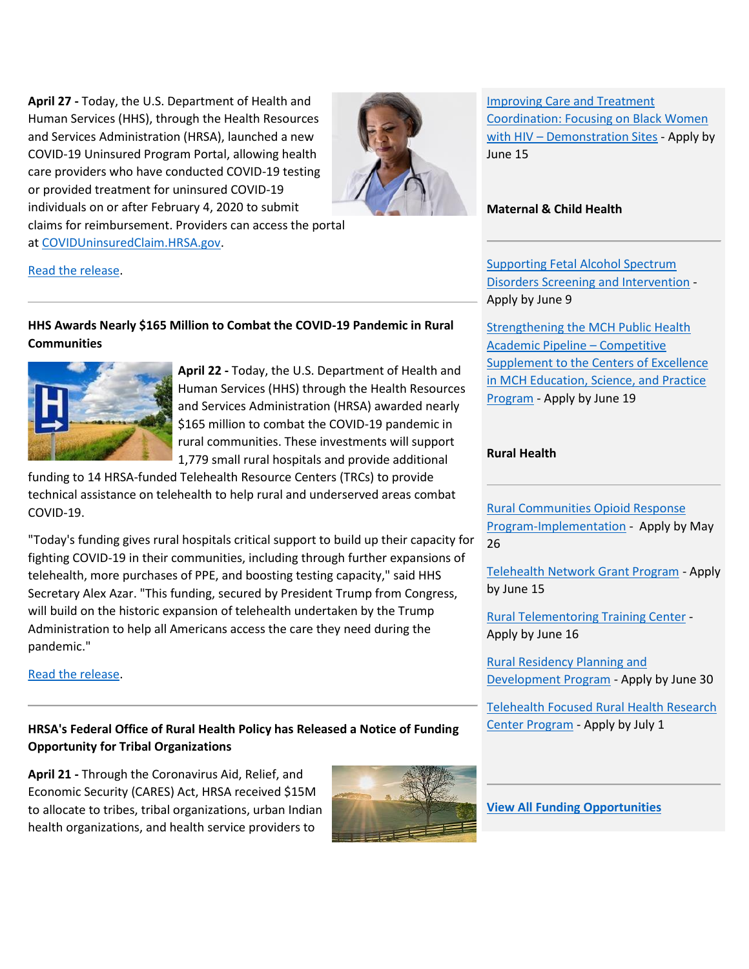**April 27 -** Today, the U.S. Department of Health and Human Services (HHS), through the Health Resources and Services Administration (HRSA), launched a new COVID-19 Uninsured Program Portal, allowing health care providers who have conducted COVID-19 testing or provided treatment for uninsured COVID-19 individuals on or after February 4, 2020 to submit claims for reimbursement. Providers can access the portal at [COVIDUninsuredClaim.HRSA.gov.](https://lnks.gd/l/eyJhbGciOiJIUzI1NiJ9.eyJidWxsZXRpbl9saW5rX2lkIjoxMDIsInVyaSI6ImJwMjpjbGljayIsImJ1bGxldGluX2lkIjoiMjAyMDA1MDcuMjExODgyMTEiLCJ1cmwiOiJodHRwczovL2NvdmlkdW5pbnN1cmVkY2xhaW0uaHJzYS5nb3YvP3V0bV9jYW1wYWlnbj1lbmV3czIwMjAwNTA3JnV0bV9tZWRpdW09ZW1haWwmdXRtX3NvdXJjZT1nb3ZkZWxpdmVyeSJ9.aTaT8r0p6VoQY0GZiKuzFfb4d9ER2NZDWOPF8wEH6vo/br/78368568620-l)



[Improving Care and Treatment](https://lnks.gd/l/eyJhbGciOiJIUzI1NiJ9.eyJidWxsZXRpbl9saW5rX2lkIjoxMjgsInVyaSI6ImJwMjpjbGljayIsImJ1bGxldGluX2lkIjoiMjAyMDA1MDcuMjExODgyMTEiLCJ1cmwiOiJodHRwczovL3d3dy5ocnNhLmdvdi9ncmFudHMvZmluZC1mdW5kaW5nL2hyc2EtMjAtMTE2P3V0bV9jYW1wYWlnbj1lbmV3czIwMjAwNTA3JnV0bV9tZWRpdW09ZW1haWwmdXRtX3NvdXJjZT1nb3ZkZWxpdmVyeSJ9.Pamx0TsgvTuusnxYRCTsWtkFFrJHZF_2UfWbtqBZRxM/br/78368568620-l)  [Coordination: Focusing on Black Women](https://lnks.gd/l/eyJhbGciOiJIUzI1NiJ9.eyJidWxsZXRpbl9saW5rX2lkIjoxMjgsInVyaSI6ImJwMjpjbGljayIsImJ1bGxldGluX2lkIjoiMjAyMDA1MDcuMjExODgyMTEiLCJ1cmwiOiJodHRwczovL3d3dy5ocnNhLmdvdi9ncmFudHMvZmluZC1mdW5kaW5nL2hyc2EtMjAtMTE2P3V0bV9jYW1wYWlnbj1lbmV3czIwMjAwNTA3JnV0bV9tZWRpdW09ZW1haWwmdXRtX3NvdXJjZT1nb3ZkZWxpdmVyeSJ9.Pamx0TsgvTuusnxYRCTsWtkFFrJHZF_2UfWbtqBZRxM/br/78368568620-l)  with HIV – [Demonstration Sites](https://lnks.gd/l/eyJhbGciOiJIUzI1NiJ9.eyJidWxsZXRpbl9saW5rX2lkIjoxMjgsInVyaSI6ImJwMjpjbGljayIsImJ1bGxldGluX2lkIjoiMjAyMDA1MDcuMjExODgyMTEiLCJ1cmwiOiJodHRwczovL3d3dy5ocnNhLmdvdi9ncmFudHMvZmluZC1mdW5kaW5nL2hyc2EtMjAtMTE2P3V0bV9jYW1wYWlnbj1lbmV3czIwMjAwNTA3JnV0bV9tZWRpdW09ZW1haWwmdXRtX3NvdXJjZT1nb3ZkZWxpdmVyeSJ9.Pamx0TsgvTuusnxYRCTsWtkFFrJHZF_2UfWbtqBZRxM/br/78368568620-l) - Apply by June 15

#### **Maternal & Child Health**

[Supporting Fetal Alcohol Spectrum](https://lnks.gd/l/eyJhbGciOiJIUzI1NiJ9.eyJidWxsZXRpbl9saW5rX2lkIjoxMjksInVyaSI6ImJwMjpjbGljayIsImJ1bGxldGluX2lkIjoiMjAyMDA1MDcuMjExODgyMTEiLCJ1cmwiOiJodHRwczovL3d3dy5ocnNhLmdvdi9ncmFudHMvZmluZC1mdW5kaW5nL2hyc2EtMjAtMTExP3V0bV9jYW1wYWlnbj1lbmV3czIwMjAwNTA3JnV0bV9tZWRpdW09ZW1haWwmdXRtX3NvdXJjZT1nb3ZkZWxpdmVyeSJ9.UDo4oWizBary8EMaFUBj0PrcFqxUjlnlDjTB01XU2oc/br/78368568620-l)  [Disorders Screening and Intervention](https://lnks.gd/l/eyJhbGciOiJIUzI1NiJ9.eyJidWxsZXRpbl9saW5rX2lkIjoxMjksInVyaSI6ImJwMjpjbGljayIsImJ1bGxldGluX2lkIjoiMjAyMDA1MDcuMjExODgyMTEiLCJ1cmwiOiJodHRwczovL3d3dy5ocnNhLmdvdi9ncmFudHMvZmluZC1mdW5kaW5nL2hyc2EtMjAtMTExP3V0bV9jYW1wYWlnbj1lbmV3czIwMjAwNTA3JnV0bV9tZWRpdW09ZW1haWwmdXRtX3NvdXJjZT1nb3ZkZWxpdmVyeSJ9.UDo4oWizBary8EMaFUBj0PrcFqxUjlnlDjTB01XU2oc/br/78368568620-l) - Apply by June 9

**Strengthening the MCH Public Health** [Academic Pipeline](https://lnks.gd/l/eyJhbGciOiJIUzI1NiJ9.eyJidWxsZXRpbl9saW5rX2lkIjoxMzAsInVyaSI6ImJwMjpjbGljayIsImJ1bGxldGluX2lkIjoiMjAyMDA1MDcuMjExODgyMTEiLCJ1cmwiOiJodHRwczovL3d3dy5ocnNhLmdvdi9ncmFudHMvZmluZC1mdW5kaW5nL2hyc2EtMjAtMDg4P3V0bV9jYW1wYWlnbj1lbmV3czIwMjAwNTA3JnV0bV9tZWRpdW09ZW1haWwmdXRtX3NvdXJjZT1nb3ZkZWxpdmVyeSJ9.WsvyDCPDLiMCAIi1nfGn3lYlTMgT35vQ_Twrrf8kFI0/br/78368568620-l) – Competitive [Supplement to the Centers of Excellence](https://lnks.gd/l/eyJhbGciOiJIUzI1NiJ9.eyJidWxsZXRpbl9saW5rX2lkIjoxMzAsInVyaSI6ImJwMjpjbGljayIsImJ1bGxldGluX2lkIjoiMjAyMDA1MDcuMjExODgyMTEiLCJ1cmwiOiJodHRwczovL3d3dy5ocnNhLmdvdi9ncmFudHMvZmluZC1mdW5kaW5nL2hyc2EtMjAtMDg4P3V0bV9jYW1wYWlnbj1lbmV3czIwMjAwNTA3JnV0bV9tZWRpdW09ZW1haWwmdXRtX3NvdXJjZT1nb3ZkZWxpdmVyeSJ9.WsvyDCPDLiMCAIi1nfGn3lYlTMgT35vQ_Twrrf8kFI0/br/78368568620-l)  [in MCH Education, Science, and Practice](https://lnks.gd/l/eyJhbGciOiJIUzI1NiJ9.eyJidWxsZXRpbl9saW5rX2lkIjoxMzAsInVyaSI6ImJwMjpjbGljayIsImJ1bGxldGluX2lkIjoiMjAyMDA1MDcuMjExODgyMTEiLCJ1cmwiOiJodHRwczovL3d3dy5ocnNhLmdvdi9ncmFudHMvZmluZC1mdW5kaW5nL2hyc2EtMjAtMDg4P3V0bV9jYW1wYWlnbj1lbmV3czIwMjAwNTA3JnV0bV9tZWRpdW09ZW1haWwmdXRtX3NvdXJjZT1nb3ZkZWxpdmVyeSJ9.WsvyDCPDLiMCAIi1nfGn3lYlTMgT35vQ_Twrrf8kFI0/br/78368568620-l)  [Program](https://lnks.gd/l/eyJhbGciOiJIUzI1NiJ9.eyJidWxsZXRpbl9saW5rX2lkIjoxMzAsInVyaSI6ImJwMjpjbGljayIsImJ1bGxldGluX2lkIjoiMjAyMDA1MDcuMjExODgyMTEiLCJ1cmwiOiJodHRwczovL3d3dy5ocnNhLmdvdi9ncmFudHMvZmluZC1mdW5kaW5nL2hyc2EtMjAtMDg4P3V0bV9jYW1wYWlnbj1lbmV3czIwMjAwNTA3JnV0bV9tZWRpdW09ZW1haWwmdXRtX3NvdXJjZT1nb3ZkZWxpdmVyeSJ9.WsvyDCPDLiMCAIi1nfGn3lYlTMgT35vQ_Twrrf8kFI0/br/78368568620-l) - Apply by June 19

#### **Rural Health**

[Rural Communities Opioid Response](https://lnks.gd/l/eyJhbGciOiJIUzI1NiJ9.eyJidWxsZXRpbl9saW5rX2lkIjoxMzEsInVyaSI6ImJwMjpjbGljayIsImJ1bGxldGluX2lkIjoiMjAyMDA1MDcuMjExODgyMTEiLCJ1cmwiOiJodHRwczovL3d3dy5ocnNhLmdvdi9ncmFudHMvZmluZC1mdW5kaW5nL2hyc2EtMjAtMDMxP3V0bV9jYW1wYWlnbj1lbmV3czIwMjAwNTA3JnV0bV9tZWRpdW09ZW1haWwmdXRtX3NvdXJjZT1nb3ZkZWxpdmVyeSJ9.vdef-BWpGE_WSgyhgNzNM3dBIgE3F7U9-IETLCQ5P0o/br/78368568620-l)  [Program-Implementation](https://lnks.gd/l/eyJhbGciOiJIUzI1NiJ9.eyJidWxsZXRpbl9saW5rX2lkIjoxMzEsInVyaSI6ImJwMjpjbGljayIsImJ1bGxldGluX2lkIjoiMjAyMDA1MDcuMjExODgyMTEiLCJ1cmwiOiJodHRwczovL3d3dy5ocnNhLmdvdi9ncmFudHMvZmluZC1mdW5kaW5nL2hyc2EtMjAtMDMxP3V0bV9jYW1wYWlnbj1lbmV3czIwMjAwNTA3JnV0bV9tZWRpdW09ZW1haWwmdXRtX3NvdXJjZT1nb3ZkZWxpdmVyeSJ9.vdef-BWpGE_WSgyhgNzNM3dBIgE3F7U9-IETLCQ5P0o/br/78368568620-l) - Apply by May 26

[Telehealth Network Grant Program](https://lnks.gd/l/eyJhbGciOiJIUzI1NiJ9.eyJidWxsZXRpbl9saW5rX2lkIjoxMzIsInVyaSI6ImJwMjpjbGljayIsImJ1bGxldGluX2lkIjoiMjAyMDA1MDcuMjExODgyMTEiLCJ1cmwiOiJodHRwczovL3d3dy5ocnNhLmdvdi9ncmFudHMvZmluZC1mdW5kaW5nL2hyc2EtMjAtMDM2P3V0bV9jYW1wYWlnbj1lbmV3czIwMjAwNTA3JnV0bV9tZWRpdW09ZW1haWwmdXRtX3NvdXJjZT1nb3ZkZWxpdmVyeSJ9.sqX1-eUGvWsJES-3DaAcgWkfqV6NVcdLVS5BaE5-dnc/br/78368568620-l) - Apply by June 15

[Rural Telementoring Training Center](https://lnks.gd/l/eyJhbGciOiJIUzI1NiJ9.eyJidWxsZXRpbl9saW5rX2lkIjoxMzMsInVyaSI6ImJwMjpjbGljayIsImJ1bGxldGluX2lkIjoiMjAyMDA1MDcuMjExODgyMTEiLCJ1cmwiOiJodHRwczovL3d3dy5ocnNhLmdvdi9ncmFudHMvZmluZC1mdW5kaW5nL2hyc2EtMjAtMTA4P3V0bV9jYW1wYWlnbj1lbmV3czIwMjAwNTA3JnV0bV9tZWRpdW09ZW1haWwmdXRtX3NvdXJjZT1nb3ZkZWxpdmVyeSJ9.0jF0DgmkmeYgWj14eI53QZNXZEJHr7zcaA3OH7hFhlI/br/78368568620-l) - Apply by June 16

[Rural Residency Planning and](https://lnks.gd/l/eyJhbGciOiJIUzI1NiJ9.eyJidWxsZXRpbl9saW5rX2lkIjoxMzQsInVyaSI6ImJwMjpjbGljayIsImJ1bGxldGluX2lkIjoiMjAyMDA1MDcuMjExODgyMTEiLCJ1cmwiOiJodHRwczovL3d3dy5ocnNhLmdvdi9ncmFudHMvZmluZC1mdW5kaW5nL2hyc2EtMjAtMTA3P3V0bV9jYW1wYWlnbj1lbmV3czIwMjAwNTA3JnV0bV9tZWRpdW09ZW1haWwmdXRtX3NvdXJjZT1nb3ZkZWxpdmVyeSJ9.PmCXGPKBv4VhVIChgBatmmxmmsm-HAR9cMn8lgr4ktA/br/78368568620-l)  [Development Program](https://lnks.gd/l/eyJhbGciOiJIUzI1NiJ9.eyJidWxsZXRpbl9saW5rX2lkIjoxMzQsInVyaSI6ImJwMjpjbGljayIsImJ1bGxldGluX2lkIjoiMjAyMDA1MDcuMjExODgyMTEiLCJ1cmwiOiJodHRwczovL3d3dy5ocnNhLmdvdi9ncmFudHMvZmluZC1mdW5kaW5nL2hyc2EtMjAtMTA3P3V0bV9jYW1wYWlnbj1lbmV3czIwMjAwNTA3JnV0bV9tZWRpdW09ZW1haWwmdXRtX3NvdXJjZT1nb3ZkZWxpdmVyeSJ9.PmCXGPKBv4VhVIChgBatmmxmmsm-HAR9cMn8lgr4ktA/br/78368568620-l) - Apply by June 30

[Telehealth Focused Rural Health Research](https://lnks.gd/l/eyJhbGciOiJIUzI1NiJ9.eyJidWxsZXRpbl9saW5rX2lkIjoxMzUsInVyaSI6ImJwMjpjbGljayIsImJ1bGxldGluX2lkIjoiMjAyMDA1MDcuMjExODgyMTEiLCJ1cmwiOiJodHRwczovL3d3dy5ocnNhLmdvdi9ncmFudHMvZmluZC1mdW5kaW5nL2hyc2EtMjAtMDIzP3V0bV9jYW1wYWlnbj1lbmV3czIwMjAwNTA3JnV0bV9tZWRpdW09ZW1haWwmdXRtX3NvdXJjZT1nb3ZkZWxpdmVyeSJ9.-u5GtOhnz33dt69h3PQM7eXWuH2y3J_aWlZlksxPe48/br/78368568620-l)  [Center Program](https://lnks.gd/l/eyJhbGciOiJIUzI1NiJ9.eyJidWxsZXRpbl9saW5rX2lkIjoxMzUsInVyaSI6ImJwMjpjbGljayIsImJ1bGxldGluX2lkIjoiMjAyMDA1MDcuMjExODgyMTEiLCJ1cmwiOiJodHRwczovL3d3dy5ocnNhLmdvdi9ncmFudHMvZmluZC1mdW5kaW5nL2hyc2EtMjAtMDIzP3V0bV9jYW1wYWlnbj1lbmV3czIwMjAwNTA3JnV0bV9tZWRpdW09ZW1haWwmdXRtX3NvdXJjZT1nb3ZkZWxpdmVyeSJ9.-u5GtOhnz33dt69h3PQM7eXWuH2y3J_aWlZlksxPe48/br/78368568620-l) - Apply by July 1

[Read the release.](https://lnks.gd/l/eyJhbGciOiJIUzI1NiJ9.eyJidWxsZXRpbl9saW5rX2lkIjoxMDMsInVyaSI6ImJwMjpjbGljayIsImJ1bGxldGluX2lkIjoiMjAyMDA1MDcuMjExODgyMTEiLCJ1cmwiOiJodHRwczovL3d3dy5oaHMuZ292L2Fib3V0L25ld3MvMjAyMC8wNC8yNy9oaHMtbGF1bmNoZXMtY292aWQxOS11bmluc3VyZWQtcHJvZ3JhbS1wb3J0YWwuaHRtbD91dG1fY2FtcGFpZ249ZW5ld3MyMDIwMDUwNyZ1dG1fbWVkaXVtPWVtYWlsJnV0bV9zb3VyY2U9Z292ZGVsaXZlcnkifQ.bUE0aoOD6AcEqxQuaX8SubE9HZTKQUy_C6FnrfgsGio/br/78368568620-l)

## **HHS Awards Nearly \$165 Million to Combat the COVID-19 Pandemic in Rural Communities**



**April 22 -** Today, the U.S. Department of Health and Human Services (HHS) through the Health Resources and Services Administration (HRSA) awarded nearly \$165 million to combat the COVID-19 pandemic in rural communities. These investments will support 1,779 small rural hospitals and provide additional

funding to 14 HRSA-funded Telehealth Resource Centers (TRCs) to provide technical assistance on telehealth to help rural and underserved areas combat COVID-19.

"Today's funding gives rural hospitals critical support to build up their capacity for fighting COVID-19 in their communities, including through further expansions of telehealth, more purchases of PPE, and boosting testing capacity," said HHS Secretary Alex Azar. "This funding, secured by President Trump from Congress, will build on the historic expansion of telehealth undertaken by the Trump Administration to help all Americans access the care they need during the pandemic."

[Read the release.](https://lnks.gd/l/eyJhbGciOiJIUzI1NiJ9.eyJidWxsZXRpbl9saW5rX2lkIjoxMDQsInVyaSI6ImJwMjpjbGljayIsImJ1bGxldGluX2lkIjoiMjAyMDA1MDcuMjExODgyMTEiLCJ1cmwiOiJodHRwczovL3d3dy5oaHMuZ292L2Fib3V0L25ld3MvMjAyMC8wNC8yMi9oaHMtYXdhcmRzLW5lYXJseS0xNjUtbWlsbGlvbi10by1jb21iYXQtY292aWQxOS1wYW5kZW1pYy1pbi1ydXJhbC1jb21tdW5pdGllcy5odG1sP3V0bV9jYW1wYWlnbj1lbmV3czIwMjAwNTA3JnV0bV9tZWRpdW09ZW1haWwmdXRtX3NvdXJjZT1nb3ZkZWxpdmVyeSJ9.4qqmxy0vf8WAiXbusSnHPcQFCqnjib-7hM9F9tJ1kyM/br/78368568620-l)

# **HRSA's Federal Office of Rural Health Policy has Released a Notice of Funding Opportunity for Tribal Organizations**

**April 21 -** Through the Coronavirus Aid, Relief, and Economic Security (CARES) Act, HRSA received \$15M to allocate to tribes, tribal organizations, urban Indian health organizations, and health service providers to



**[View All Funding Opportunities](https://lnks.gd/l/eyJhbGciOiJIUzI1NiJ9.eyJidWxsZXRpbl9saW5rX2lkIjoxMzYsInVyaSI6ImJwMjpjbGljayIsImJ1bGxldGluX2lkIjoiMjAyMDA1MDcuMjExODgyMTEiLCJ1cmwiOiJodHRwczovL3d3dy5ocnNhLmdvdi9ncmFudHMvZmluZC1mdW5kaW5nP3V0bV9jYW1wYWlnbj1lbmV3czIwMjAwNTA3JnV0bV9tZWRpdW09ZW1haWwmdXRtX3NvdXJjZT1nb3ZkZWxpdmVyeSJ9.dyLt5A0c8VS4T1fWvz7ZBZWdPyXWBuqGROo4eOwEpLc/br/78368568620-l)**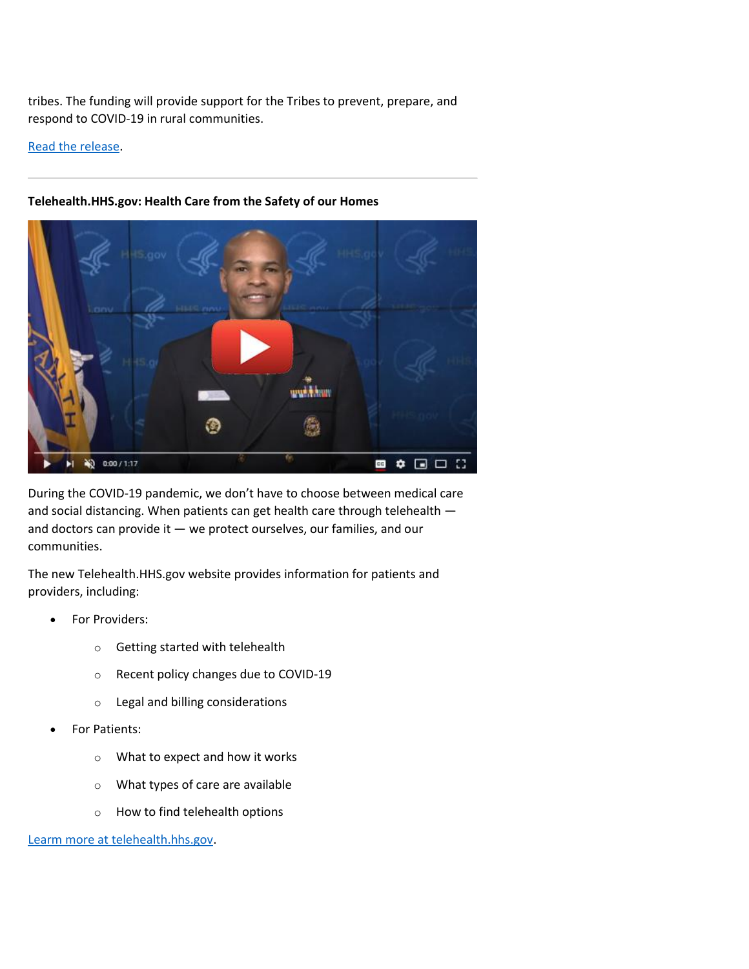tribes. The funding will provide support for the Tribes to prevent, prepare, and respond to COVID-19 in rural communities.

[Read the release.](https://lnks.gd/l/eyJhbGciOiJIUzI1NiJ9.eyJidWxsZXRpbl9saW5rX2lkIjoxMDUsInVyaSI6ImJwMjpjbGljayIsImJ1bGxldGluX2lkIjoiMjAyMDA1MDcuMjExODgyMTEiLCJ1cmwiOiJodHRwczovL3d3dy5ocnNhLmdvdi9hYm91dC9uZXdzL3ByZXNzLXJlbGVhc2VzL2hyc2EtZm9yaHAtdHJpYmFsLWZ1bmRpbmctcnVyYWwtY2FyZXM_dXRtX2NhbXBhaWduPWVuZXdzMjAyMDA1MDcmdXRtX21lZGl1bT1lbWFpbCZ1dG1fc291cmNlPWdvdmRlbGl2ZXJ5In0.p0BJE6pk3_pLAK5x7_5rpUT9Nwzh3n_qa-EUee0gtso/br/78368568620-l)



# **Telehealth.HHS.gov: Health Care from the Safety of our Homes**

During the COVID-19 pandemic, we don't have to choose between medical care and social distancing. When patients can get health care through telehealth and doctors can provide it — we protect ourselves, our families, and our communities.

The new Telehealth.HHS.gov website provides information for patients and providers, including:

- For Providers:
	- o Getting started with telehealth
	- o Recent policy changes due to COVID-19
	- o Legal and billing considerations
- For Patients:
	- o What to expect and how it works
	- o What types of care are available
	- o How to find telehealth options

[Learm more at telehealth.hhs.gov.](https://lnks.gd/l/eyJhbGciOiJIUzI1NiJ9.eyJidWxsZXRpbl9saW5rX2lkIjoxMDcsInVyaSI6ImJwMjpjbGljayIsImJ1bGxldGluX2lkIjoiMjAyMDA1MDcuMjExODgyMTEiLCJ1cmwiOiJodHRwczovL3RlbGVoZWFsdGguaGhzLmdvdi8_dXRtX2NhbXBhaWduPWVuZXdzMjAyMDA1MDcmdXRtX21lZGl1bT1lbWFpbCZ1dG1fc291cmNlPWdvdmRlbGl2ZXJ5In0.Wc36lwGDDzTOxsPv7HW4ouLw-f4tg0hFe2l6CVWLDSg/br/78368568620-l)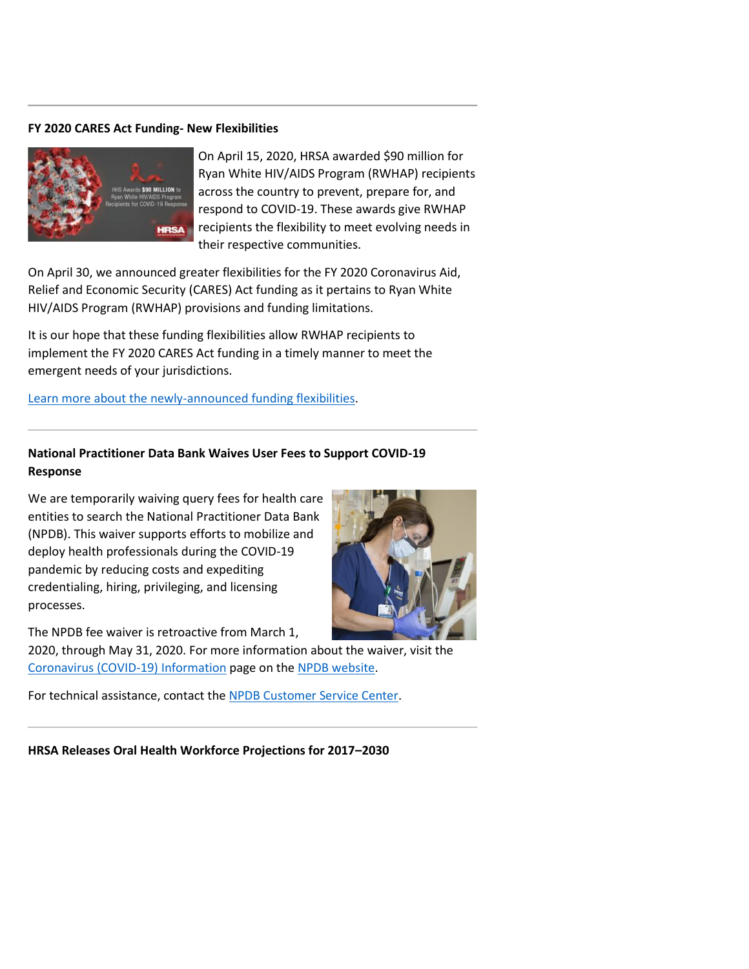#### **FY 2020 CARES Act Funding- New Flexibilities**



On April 15, 2020, HRSA awarded \$90 million for Ryan White HIV/AIDS Program (RWHAP) recipients across the country to prevent, prepare for, and respond to COVID-19. These awards give RWHAP recipients the flexibility to meet evolving needs in their respective communities.

On April 30, we announced greater flexibilities for the FY 2020 Coronavirus Aid, Relief and Economic Security (CARES) Act funding as it pertains to Ryan White HIV/AIDS Program (RWHAP) provisions and funding limitations.

It is our hope that these funding flexibilities allow RWHAP recipients to implement the FY 2020 CARES Act funding in a timely manner to meet the emergent needs of your jurisdictions.

[Learn more about the newly-announced funding flexibilities.](https://lnks.gd/l/eyJhbGciOiJIUzI1NiJ9.eyJidWxsZXRpbl9saW5rX2lkIjoxMDgsInVyaSI6ImJwMjpjbGljayIsImJ1bGxldGluX2lkIjoiMjAyMDA1MDcuMjExODgyMTEiLCJ1cmwiOiJodHRwczovL2hhYi5ocnNhLmdvdi9wcm9ncmFtLWdyYW50cy1tYW5hZ2VtZW50L2Nvcm9uYXZpcnVzLWNvdmlkLTE5LXJlc3BvbnNlP3V0bV9jYW1wYWlnbj1lbmV3czIwMjAwNTA3JnV0bV9tZWRpdW09ZW1haWwmdXRtX3NvdXJjZT1nb3ZkZWxpdmVyeSJ9.SWs1ROzbe8Iea-u1Hhw3_vuWSvAK61dn3Oi9V1g4-lo/br/78368568620-l)

### **National Practitioner Data Bank Waives User Fees to Support COVID-19 Response**

We are temporarily waiving query fees for health care entities to search the National Practitioner Data Bank (NPDB). This waiver supports efforts to mobilize and deploy health professionals during the COVID-19 pandemic by reducing costs and expediting credentialing, hiring, privileging, and licensing processes.



2020, through May 31, 2020. For more information about the waiver, visit the [Coronavirus \(COVID-19\) Information](https://lnks.gd/l/eyJhbGciOiJIUzI1NiJ9.eyJidWxsZXRpbl9saW5rX2lkIjoxMDksInVyaSI6ImJwMjpjbGljayIsImJ1bGxldGluX2lkIjoiMjAyMDA1MDcuMjExODgyMTEiLCJ1cmwiOiJodHRwczovL2xua3MuZ2QvbC9leUpoYkdjaU9pSklVekkxTmlKOS5leUppZFd4c1pYUnBibDlzYVc1clgybGtJam94TWpBc0luVnlhU0k2SW1Kd01qcGpiR2xqYXlJc0ltSjFiR3hsZEdsdVgybGtJam9pTWpBeU1EQTBNVFl1TWpBeU16a3hNVEVpTENKMWNtd2lPaUpvZEhSd2N6b3ZMM2QzZHk1dWNHUmlMbWh5YzJFdVoyOTJMMk52Y205dVlYWnBjblZ6TG1wemNEOTFkRzFmWTJGdGNHRnBaMjQ5Wlc1bGQzTXlNREl3TURReE5pWjFkRzFmYldWa2FYVnRQV1Z0WVdsc0puVjBiVjl6YjNWeVkyVTlaMjkyWkdWc2FYWmxjbmtpZlEuUDJuenBsWUZCQUNDRUtvUHVuZzVkR1c1TzVFeGtpRzJiTXdVOV9MSktVcy9ici83NzQ4NDM1MTA4NC1sP3V0bV9jYW1wYWlnbj1lbmV3czIwMjAwNTA3JnV0bV9tZWRpdW09ZW1haWwmdXRtX3NvdXJjZT1nb3ZkZWxpdmVyeSJ9.DFAOSlIV552A0kmDyiR6MIO_gzmXdgPShbGDEr8avIU/br/78368568620-l) page on the [NPDB website.](https://lnks.gd/l/eyJhbGciOiJIUzI1NiJ9.eyJidWxsZXRpbl9saW5rX2lkIjoxMTAsInVyaSI6ImJwMjpjbGljayIsImJ1bGxldGluX2lkIjoiMjAyMDA1MDcuMjExODgyMTEiLCJ1cmwiOiJodHRwczovL2xua3MuZ2QvbC9leUpoYkdjaU9pSklVekkxTmlKOS5leUppZFd4c1pYUnBibDlzYVc1clgybGtJam94TVRrc0luVnlhU0k2SW1Kd01qcGpiR2xqYXlJc0ltSjFiR3hsZEdsdVgybGtJam9pTWpBeU1EQTBNVFl1TWpBeU16a3hNVEVpTENKMWNtd2lPaUpvZEhSd09pOHZkM2QzTG01d1pHSXVhSEp6WVM1bmIzWXZQM1YwYlY5allXMXdZV2xuYmoxbGJtVjNjekl3TWpBd05ERTJKblYwYlY5dFpXUnBkVzA5WlcxaGFXd21kWFJ0WDNOdmRYSmpaVDFuYjNaa1pXeHBkbVZ5ZVNKOS4wVWl4VE84QzBOSWJVeXR4UU0ySUdUVF9Rd3MzTjR3SGU2dExQRW50VDAwL2JyLzc3NDg0MzUxMDg0LWw_dXRtX2NhbXBhaWduPWVuZXdzMjAyMDA1MDcmdXRtX21lZGl1bT1lbWFpbCZ1dG1fc291cmNlPWdvdmRlbGl2ZXJ5In0.oCyb9v0GurdVqTOtGNz3Em4GYwtYwp2c1I9oISQL0Us/br/78368568620-l)

For technical assistance, contact the [NPDB Customer Service Center.](https://lnks.gd/l/eyJhbGciOiJIUzI1NiJ9.eyJidWxsZXRpbl9saW5rX2lkIjoxMTEsInVyaSI6ImJwMjpjbGljayIsImJ1bGxldGluX2lkIjoiMjAyMDA1MDcuMjExODgyMTEiLCJ1cmwiOiJodHRwczovL2xua3MuZ2QvbC9leUpoYkdjaU9pSklVekkxTmlKOS5leUppZFd4c1pYUnBibDlzYVc1clgybGtJam94TWpFc0luVnlhU0k2SW1Kd01qcGpiR2xqYXlJc0ltSjFiR3hsZEdsdVgybGtJam9pTWpBeU1EQTBNVFl1TWpBeU16a3hNVEVpTENKMWNtd2lPaUpvZEhSd2N6b3ZMM2QzZHk1dWNHUmlMbWh5YzJFdVoyOTJMM1J2Y0U1aGRtbG5ZWFJwYjI0dlkyOXVkR0ZqZEZWekxtcHpjRDkxZEcxZlkyRnRjR0ZwWjI0OVpXNWxkM015TURJd01EUXhOaVoxZEcxZmJXVmthWFZ0UFdWdFlXbHNKblYwYlY5emIzVnlZMlU5WjI5MlpHVnNhWFpsY25raWZRLlBGY1FuRDQyekdQY013VmJQS0o2TkIxdEU2Y0tOSEV1VHJabVRBQkRGNEEvYnIvNzc0ODQzNTEwODQtbD91dG1fY2FtcGFpZ249ZW5ld3MyMDIwMDUwNyZ1dG1fbWVkaXVtPWVtYWlsJnV0bV9zb3VyY2U9Z292ZGVsaXZlcnkifQ.sfRmFhQDsPhH5BIaL4RvZc4INGMktxTi-Wf7X0x68co/br/78368568620-l)

**HRSA Releases Oral Health Workforce Projections for 2017–2030**

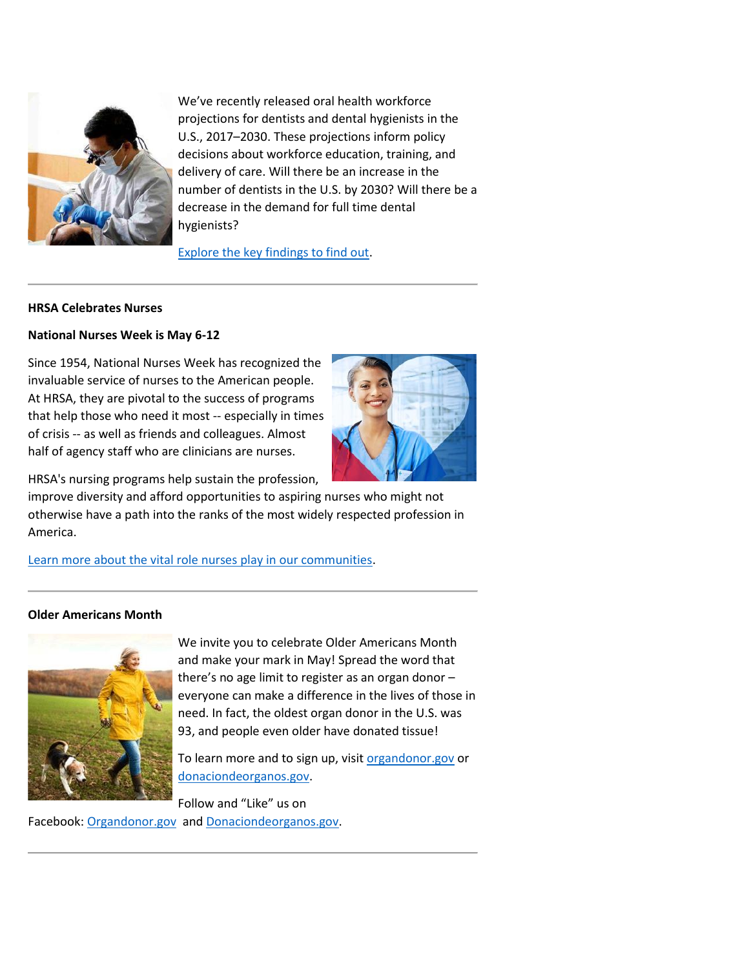

We've recently released oral health workforce projections for dentists and dental hygienists in the U.S., 2017–2030. These projections inform policy decisions about workforce education, training, and delivery of care. Will there be an increase in the number of dentists in the U.S. by 2030? Will there be a decrease in the demand for full time dental hygienists?

[Explore the key findings to find out.](https://lnks.gd/l/eyJhbGciOiJIUzI1NiJ9.eyJidWxsZXRpbl9saW5rX2lkIjoxMTIsInVyaSI6ImJwMjpjbGljayIsImJ1bGxldGluX2lkIjoiMjAyMDA1MDcuMjExODgyMTEiLCJ1cmwiOiJodHRwczovL2Jody5ocnNhLmdvdi9oZWFsdGgtd29ya2ZvcmNlLWFuYWx5c2lzL3Jlc2VhcmNoL3Byb2plY3Rpb25zL29yYWwtaGVhbHRoLXdvcmtmb3JjZS1wcm9qZWN0aW9ucz91dG1fY2FtcGFpZ249ZW5ld3MyMDIwMDUwNyZ1dG1fbWVkaXVtPWVtYWlsJnV0bV9zb3VyY2U9Z292ZGVsaXZlcnkifQ.1Joekb5hDs1sckbmbdyk7vbIjaHSpWA7LIVMK0tvr_c/br/78368568620-l)

#### **HRSA Celebrates Nurses**

#### **National Nurses Week is May 6-12**

Since 1954, National Nurses Week has recognized the invaluable service of nurses to the American people. At HRSA, they are pivotal to the success of programs that help those who need it most -- especially in times of crisis -- as well as friends and colleagues. Almost half of agency staff who are clinicians are nurses.



HRSA's nursing programs help sustain the profession,

improve diversity and afford opportunities to aspiring nurses who might not otherwise have a path into the ranks of the most widely respected profession in America.

[Learn more about the vital role nurses play in our communities.](https://lnks.gd/l/eyJhbGciOiJIUzI1NiJ9.eyJidWxsZXRpbl9saW5rX2lkIjoxMTMsInVyaSI6ImJwMjpjbGljayIsImJ1bGxldGluX2lkIjoiMjAyMDA1MDcuMjExODgyMTEiLCJ1cmwiOiJodHRwczovL3d3dy5ocnNhLmdvdi9lbmV3cy9wYXN0LWlzc3Vlcy8yMDIwL21heS03L2hyc2EtY2VsZWJyYXRlcy1udXJzZXM_dXRtX2NhbXBhaWduPWVuZXdzMjAyMDA1MDcmdXRtX21lZGl1bT1lbWFpbCZ1dG1fc291cmNlPWdvdmRlbGl2ZXJ5In0.24bHjHQgk0fWAhU2KRkWODvRUAJpJFmY71knwTP3IH4/br/78368568620-l)

#### **Older Americans Month**



We invite you to celebrate Older Americans Month and make your mark in May! Spread the word that there's no age limit to register as an organ donor – everyone can make a difference in the lives of those in need. In fact, the oldest organ donor in the U.S. was 93, and people even older have donated tissue!

To learn more and to sign up, visit [organdonor.gov](https://lnks.gd/l/eyJhbGciOiJIUzI1NiJ9.eyJidWxsZXRpbl9saW5rX2lkIjoxMTQsInVyaSI6ImJwMjpjbGljayIsImJ1bGxldGluX2lkIjoiMjAyMDA1MDcuMjExODgyMTEiLCJ1cmwiOiJodHRwOi8vd3d3Lm9yZ2FuZG9ub3IuZ292Lz91dG1fY2FtcGFpZ249ZW5ld3MyMDIwMDUwNyZ1dG1fbWVkaXVtPWVtYWlsJnV0bV9zb3VyY2U9Z292ZGVsaXZlcnkifQ.Vc-yh1WVW0Z63vvpIIsCMRa8QDtkok0enWrHR-IYqag/br/78368568620-l) or [donaciondeorganos.gov.](https://lnks.gd/l/eyJhbGciOiJIUzI1NiJ9.eyJidWxsZXRpbl9saW5rX2lkIjoxMTUsInVyaSI6ImJwMjpjbGljayIsImJ1bGxldGluX2lkIjoiMjAyMDA1MDcuMjExODgyMTEiLCJ1cmwiOiJodHRwOi8vd3d3LmRvbmFjaW9uZGVvcmdhbm9zLmdvdi8_dXRtX2NhbXBhaWduPWVuZXdzMjAyMDA1MDcmdXRtX21lZGl1bT1lbWFpbCZ1dG1fc291cmNlPWdvdmRlbGl2ZXJ5In0.29LUhLeuXmbuRW0jW6CVJasX60pjL1NhOhbKu28UXC0/br/78368568620-l)

Follow and "Like" us on Facebook: [Organdonor.gov](https://lnks.gd/l/eyJhbGciOiJIUzI1NiJ9.eyJidWxsZXRpbl9saW5rX2lkIjoxMTYsInVyaSI6ImJwMjpjbGljayIsImJ1bGxldGluX2lkIjoiMjAyMDA1MDcuMjExODgyMTEiLCJ1cmwiOiJodHRwczovL3d3dy5mYWNlYm9vay5jb20vb3JnYW5kb25vci5nb3YvP3V0bV9jYW1wYWlnbj1lbmV3czIwMjAwNTA3JnV0bV9tZWRpdW09ZW1haWwmdXRtX3NvdXJjZT1nb3ZkZWxpdmVyeSJ9.Hogs_Jrt9QF5-HsBEp5Ara0_VfP5NslX2t0K3JL6UZA/br/78368568620-l) an[d Donaciondeorganos.gov.](https://lnks.gd/l/eyJhbGciOiJIUzI1NiJ9.eyJidWxsZXRpbl9saW5rX2lkIjoxMTcsInVyaSI6ImJwMjpjbGljayIsImJ1bGxldGluX2lkIjoiMjAyMDA1MDcuMjExODgyMTEiLCJ1cmwiOiJodHRwczovL3d3dy5mYWNlYm9vay5jb20vVVNkb25hY2lvbmRlb3JnYW5vcy5nb3YvP3V0bV9jYW1wYWlnbj1lbmV3czIwMjAwNTA3JnV0bV9tZWRpdW09ZW1haWwmdXRtX3NvdXJjZT1nb3ZkZWxpdmVyeSJ9.6NDcLeIj9HQxzDVfpbKoojo4eg_j0Bk3yqRKmEQelTg/br/78368568620-l)